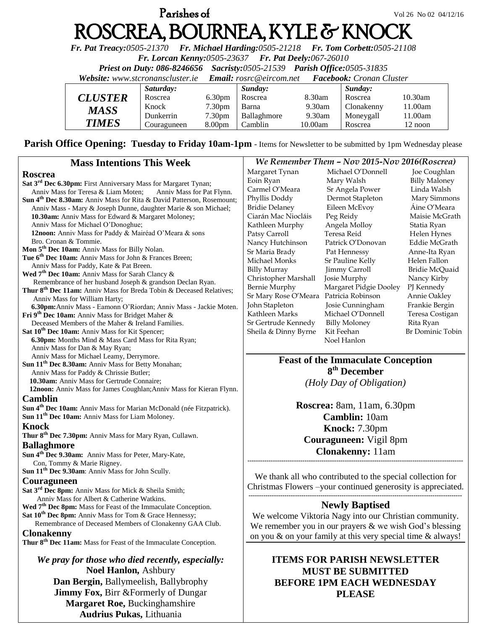## **Parishes of**  $Vol 26 No 02 04/12/16$ ROSCREA, BOURNEA, KYLE & KNOCK

*Fr. Pat Treacy:0505-21370 Fr. Michael Harding:0505-21218 Fr. Tom Corbett:0505-21108* 

*Fr. Lorcan Kenny:0505-23637 Fr. Pat Deely:067-26010* 

*Priest on Duty: 086-8246656 Sacristy:0505-21539 Parish Office:0505-31835* 

*Website: [www.stcronanscluster.ie](http://www.stcronanscluster.ie/) Email: [rosrc@eircom.net](mailto:rosrc@eircom.net) Facebook: Cronan Cluster* 

|                       | Saturday:   |                    | Sunday:     |           | Sunday:    |         |
|-----------------------|-------------|--------------------|-------------|-----------|------------|---------|
| <i><b>CLUSTER</b></i> | Roscrea     | 6.30 <sub>pm</sub> | Roscrea     | 8.30am    | Roscrea    | 10.30am |
| <b>MASS</b>           | Knock       | 7.30 <sub>pm</sub> | Barna       | $9.30$ am | Clonakenny | 11.00am |
|                       | Dunkerrin   | 7.30 <sub>pm</sub> | Ballaghmore | 9.30am    | Moneygall  | 11.00am |
| <b>TIMES</b>          | Couraguneen | 8.00 <sub>pm</sub> | Camblin     | 10.00am   | Roscrea    | 12 noon |

Parish Office Opening: Tuesday to Friday 10am-1pm - Items for Newsletter to be submitted by 1pm Wednesday please

| <b>Mass Intentions This Week</b>                                                                                                  | We Remember Them - Nov 2015-Nov 2016(Roscrea)                     |                                                              |                      |  |
|-----------------------------------------------------------------------------------------------------------------------------------|-------------------------------------------------------------------|--------------------------------------------------------------|----------------------|--|
| <b>Roscrea</b>                                                                                                                    | Margaret Tynan                                                    | Michael O'Donnell                                            | Joe Coughlan         |  |
| Sat 3 <sup>rd</sup> Dec 6.30pm: First Anniversary Mass for Margaret Tynan;                                                        | Eoin Ryan                                                         | Mary Walsh                                                   | <b>Billy Maloney</b> |  |
| Anniv Mass for Teresa & Liam Moten;<br>Anniv Mass for Pat Flynn.                                                                  | Carmel O'Meara                                                    | Sr Angela Power                                              | Linda Walsh          |  |
| Sun 4 <sup>th</sup> Dec 8.30am: Anniv Mass for Rita & David Patterson, Rosemount;                                                 | Phyllis Doddy                                                     | Dermot Stapleton                                             | Mary Simmons         |  |
| Anniv Mass - Mary & Joseph Dunne, daughter Marie & son Michael;                                                                   | <b>Bridie Delaney</b>                                             | Eileen McEvoy                                                | Áine O'Meara         |  |
| 10.30am: Anniv Mass for Edward & Margaret Moloney;                                                                                | Ciarán Mac Niocláis                                               | Peg Reidy                                                    | Maisie McGrath       |  |
| Anniv Mass for Michael O'Donoghue;                                                                                                | Kathleen Murphy                                                   | Angela Molloy                                                | Statia Ryan          |  |
| 12noon: Anniv Mass for Paddy & Mairéad O'Meara & sons                                                                             | Patsy Carroll                                                     | Teresa Reid                                                  | Helen Hynes          |  |
| Bro. Cronan & Tommie.                                                                                                             | Nancy Hutchinson                                                  | Patrick O'Donovan                                            | Eddie McGrath        |  |
| Mon 5 <sup>th</sup> Dec 10am: Anniv Mass for Billy Nolan.                                                                         | Sr Maria Brady                                                    | Pat Hennessy                                                 | Anne-Ita Ryan        |  |
| Tue 6 <sup>th</sup> Dec 10am: Anniv Mass for John & Frances Breen;                                                                | Michael Monks                                                     | Sr Pauline Kelly                                             | Helen Fallon         |  |
| Anniv Mass for Paddy, Kate & Pat Breen.                                                                                           | <b>Billy Murray</b>                                               | Jimmy Carroll                                                | Bridie McQuaid       |  |
| Wed 7 <sup>th</sup> Dec 10am: Anniv Mass for Sarah Clancy &                                                                       | Christopher Marshall                                              | Josie Murphy                                                 | Nancy Kirby          |  |
| Remembrance of her husband Joseph & grandson Declan Ryan.                                                                         | Bernie Murphy                                                     | Margaret Pidgie Dooley                                       | PJ Kennedy           |  |
| Thur 8 <sup>th</sup> Dec 11am: Anniv Mass for Breda Tobin & Deceased Relatives;                                                   | Sr Mary Rose O'Meara Patricia Robinson                            |                                                              | Annie Oakley         |  |
| Anniv Mass for William Harty;                                                                                                     | John Stapleton                                                    | Josie Cunningham                                             | Frankie Bergin       |  |
| 6.30pm: Anniv Mass - Eamonn O'Riordan; Anniv Mass - Jackie Moten.<br>Fri 9 <sup>th</sup> Dec 10am: Anniv Mass for Bridget Maher & | Kathleen Marks                                                    | Michael O'Donnell                                            | Teresa Costigan      |  |
| Deceased Members of the Maher & Ireland Families.                                                                                 | Sr Gertrude Kennedy                                               | <b>Billy Moloney</b>                                         | Rita Ryan            |  |
| Sat 10 <sup>th</sup> Dec 10am: Anniv Mass for Kit Spencer;                                                                        | Sheila & Dinny Byrne                                              | Kit Feehan                                                   | Br Dominic Tobin     |  |
| 6.30pm: Months Mind & Mass Card Mass for Rita Ryan;                                                                               |                                                                   | Noel Hanlon                                                  |                      |  |
| Anniv Mass for Dan & May Ryan;                                                                                                    |                                                                   |                                                              |                      |  |
| Anniv Mass for Michael Leamy, Derrymore.                                                                                          |                                                                   |                                                              |                      |  |
| Sun 11 <sup>th</sup> Dec 8.30am: Anniv Mass for Betty Monahan;                                                                    | <b>Feast of the Immaculate Conception</b>                         |                                                              |                      |  |
| Anniv Mass for Paddy & Chrissie Butler;                                                                                           |                                                                   | 8 <sup>th</sup> December                                     |                      |  |
| 10.30am: Anniv Mass for Gertrude Connaire;                                                                                        | (Holy Day of Obligation)                                          |                                                              |                      |  |
| 12noon: Anniv Mass for James Coughlan; Anniv Mass for Kieran Flynn.                                                               |                                                                   |                                                              |                      |  |
| <b>Camblin</b>                                                                                                                    |                                                                   |                                                              |                      |  |
| Sun 4 <sup>th</sup> Dec 10am: Anniv Mass for Marian McDonald (née Fitzpatrick).                                                   | <b>Roscrea:</b> 8am, 11am, 6.30pm                                 |                                                              |                      |  |
| Sun 11 <sup>th</sup> Dec 10am: Anniv Mass for Liam Moloney.                                                                       | Camblin: 10am                                                     |                                                              |                      |  |
| <b>Knock</b>                                                                                                                      | Knock: 7.30pm                                                     |                                                              |                      |  |
| Thur 8 <sup>th</sup> Dec 7.30pm: Anniv Mass for Mary Ryan, Cullawn.                                                               |                                                                   |                                                              |                      |  |
| <b>Ballaghmore</b>                                                                                                                | Couraguneen: Vigil 8pm                                            |                                                              |                      |  |
| Sun 4 <sup>th</sup> Dec 9.30am: Anniv Mass for Peter, Mary-Kate,                                                                  | <b>Clonakenny:</b> 11am                                           |                                                              |                      |  |
| Con, Tommy & Marie Rigney.                                                                                                        |                                                                   |                                                              |                      |  |
| Sun 11 <sup>th</sup> Dec 9.30am: Anniv Mass for John Scully.                                                                      |                                                                   |                                                              |                      |  |
| Couraguneen                                                                                                                       | We thank all who contributed to the special collection for        |                                                              |                      |  |
| Sat 3 <sup>rd</sup> Dec 8pm: Anniv Mass for Mick & Sheila Smith;                                                                  |                                                                   | Christmas Flowers -your continued generosity is appreciated. |                      |  |
| Anniv Mass for Albert & Catherine Watkins.                                                                                        |                                                                   |                                                              |                      |  |
| Wed 7 <sup>th</sup> Dec 8pm: Mass for Feast of the Immaculate Conception.                                                         |                                                                   | <b>Newly Baptised</b>                                        |                      |  |
| Sat 10 <sup>th</sup> Dec 8pm: Anniv Mass for Tom & Grace Hennessy;                                                                | We welcome Viktoria Nagy into our Christian community.            |                                                              |                      |  |
| Remembrance of Deceased Members of Clonakenny GAA Club.                                                                           | We remember you in our prayers $&$ we wish God's blessing         |                                                              |                      |  |
| <b>Clonakenny</b>                                                                                                                 | on you $\&$ on your family at this very special time $\&$ always! |                                                              |                      |  |
| Thur 8 <sup>th</sup> Dec 11am: Mass for Feast of the Immaculate Conception.                                                       |                                                                   |                                                              |                      |  |
|                                                                                                                                   |                                                                   |                                                              |                      |  |
| We pray for those who died recently, especially:                                                                                  |                                                                   | <b>ITEMS FOR PARISH NEWSLETTER</b>                           |                      |  |
| Noel Hanlon, Ashbury                                                                                                              | <b>MUST BE SUBMITTED</b>                                          |                                                              |                      |  |
|                                                                                                                                   |                                                                   |                                                              |                      |  |
| Dan Bergin, Ballymeelish, Ballybrophy                                                                                             |                                                                   | <b>BEFORE 1PM EACH WEDNESDAY</b>                             |                      |  |

**Jimmy Fox, Birr & Formerly of Dungar Margaret Roe,** Buckinghamshire **Audrius Pukas,** Lithuania